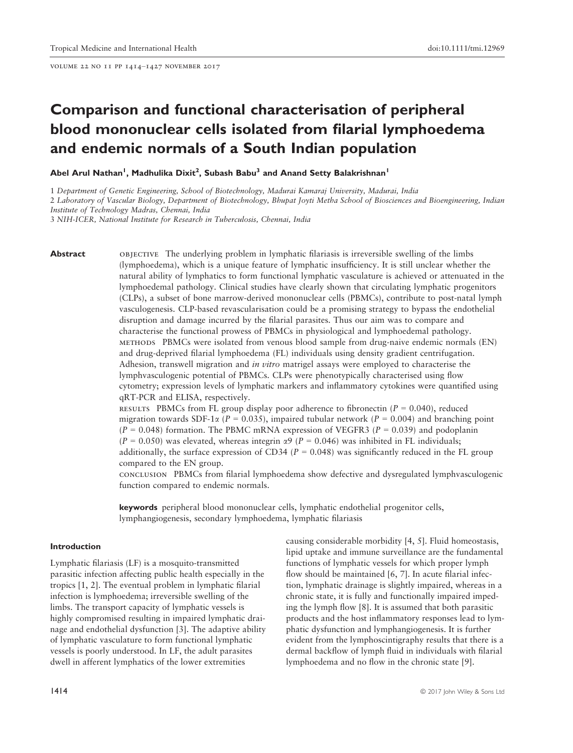volume 22 no 11 pp 1414–1427 november 2017

# Comparison and functional characterisation of peripheral blood mononuclear cells isolated from filarial lymphoedema and endemic normals of a South Indian population

Abel Arul Nathan<sup>1</sup>, Madhulika Dixit<sup>2</sup>, Subash Babu<sup>3</sup> and Anand Setty Balakrishnan<sup>1</sup>

1 Department of Genetic Engineering, School of Biotechnology, Madurai Kamaraj University, Madurai, India 2 Laboratory of Vascular Biology, Department of Biotechnology, Bhupat Joyti Metha School of Biosciences and Bioengineering, Indian Institute of Technology Madras, Chennai, India

3 NIH-ICER, National Institute for Research in Tuberculosis, Chennai, India

**Abstract** objective The underlying problem in lymphatic filariasis is irreversible swelling of the limbs (lymphoedema), which is a unique feature of lymphatic insufficiency. It is still unclear whether the natural ability of lymphatics to form functional lymphatic vasculature is achieved or attenuated in the lymphoedemal pathology. Clinical studies have clearly shown that circulating lymphatic progenitors (CLPs), a subset of bone marrow-derived mononuclear cells (PBMCs), contribute to post-natal lymph vasculogenesis. CLP-based revascularisation could be a promising strategy to bypass the endothelial disruption and damage incurred by the filarial parasites. Thus our aim was to compare and characterise the functional prowess of PBMCs in physiological and lymphoedemal pathology. methods PBMCs were isolated from venous blood sample from drug-naive endemic normals (EN) and drug-deprived filarial lymphoedema (FL) individuals using density gradient centrifugation. Adhesion, transwell migration and *in vitro* matrigel assays were employed to characterise the lymphvasculogenic potential of PBMCs. CLPs were phenotypically characterised using flow cytometry; expression levels of lymphatic markers and inflammatory cytokines were quantified using qRT-PCR and ELISA, respectively.

> RESULTS PBMCs from FL group display poor adherence to fibronectin ( $P = 0.040$ ), reduced migration towards SDF-1 $\alpha$  (P = 0.035), impaired tubular network (P = 0.004) and branching point  $(P = 0.048)$  formation. The PBMC mRNA expression of VEGFR3 ( $P = 0.039$ ) and podoplanin  $(P = 0.050)$  was elevated, whereas integrin  $\alpha$ 9 (P = 0.046) was inhibited in FL individuals; additionally, the surface expression of CD34 ( $P = 0.048$ ) was significantly reduced in the FL group compared to the EN group.

conclusion PBMCs from filarial lymphoedema show defective and dysregulated lymphvasculogenic function compared to endemic normals.

keywords peripheral blood mononuclear cells, lymphatic endothelial progenitor cells, lymphangiogenesis, secondary lymphoedema, lymphatic filariasis

# Introduction

Lymphatic filariasis (LF) is a mosquito-transmitted parasitic infection affecting public health especially in the tropics [1, 2]. The eventual problem in lymphatic filarial infection is lymphoedema; irreversible swelling of the limbs. The transport capacity of lymphatic vessels is highly compromised resulting in impaired lymphatic drainage and endothelial dysfunction [3]. The adaptive ability of lymphatic vasculature to form functional lymphatic vessels is poorly understood. In LF, the adult parasites dwell in afferent lymphatics of the lower extremities

causing considerable morbidity [4, 5]. Fluid homeostasis, lipid uptake and immune surveillance are the fundamental functions of lymphatic vessels for which proper lymph flow should be maintained [6, 7]. In acute filarial infection, lymphatic drainage is slightly impaired, whereas in a chronic state, it is fully and functionally impaired impeding the lymph flow [8]. It is assumed that both parasitic products and the host inflammatory responses lead to lymphatic dysfunction and lymphangiogenesis. It is further evident from the lymphoscintigraphy results that there is a dermal backflow of lymph fluid in individuals with filarial lymphoedema and no flow in the chronic state [9].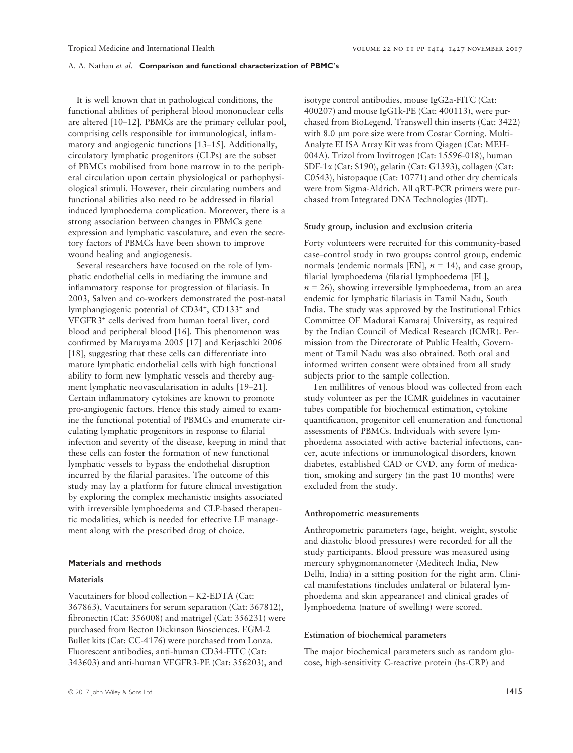It is well known that in pathological conditions, the functional abilities of peripheral blood mononuclear cells are altered [10–12]. PBMCs are the primary cellular pool, comprising cells responsible for immunological, inflammatory and angiogenic functions [13–15]. Additionally, circulatory lymphatic progenitors (CLPs) are the subset of PBMCs mobilised from bone marrow in to the peripheral circulation upon certain physiological or pathophysiological stimuli. However, their circulating numbers and functional abilities also need to be addressed in filarial induced lymphoedema complication. Moreover, there is a strong association between changes in PBMCs gene expression and lymphatic vasculature, and even the secretory factors of PBMCs have been shown to improve wound healing and angiogenesis.

Several researchers have focused on the role of lymphatic endothelial cells in mediating the immune and inflammatory response for progression of filariasis. In 2003, Salven and co-workers demonstrated the post-natal lymphangiogenic potential of CD34<sup>+</sup>, CD133<sup>+</sup> and VEGFR3<sup>+</sup> cells derived from human foetal liver, cord blood and peripheral blood [16]. This phenomenon was confirmed by Maruyama 2005 [17] and Kerjaschki 2006 [18], suggesting that these cells can differentiate into mature lymphatic endothelial cells with high functional ability to form new lymphatic vessels and thereby augment lymphatic neovascularisation in adults [19–21]. Certain inflammatory cytokines are known to promote pro-angiogenic factors. Hence this study aimed to examine the functional potential of PBMCs and enumerate circulating lymphatic progenitors in response to filarial infection and severity of the disease, keeping in mind that these cells can foster the formation of new functional lymphatic vessels to bypass the endothelial disruption incurred by the filarial parasites. The outcome of this study may lay a platform for future clinical investigation by exploring the complex mechanistic insights associated with irreversible lymphoedema and CLP-based therapeutic modalities, which is needed for effective LF management along with the prescribed drug of choice.

#### Materials and methods

# Materials

Vacutainers for blood collection – K2-EDTA (Cat: 367863), Vacutainers for serum separation (Cat: 367812), fibronectin (Cat: 356008) and matrigel (Cat: 356231) were purchased from Becton Dickinson Biosciences. EGM-2 Bullet kits (Cat: CC-4176) were purchased from Lonza. Fluorescent antibodies, anti-human CD34-FITC (Cat: 343603) and anti-human VEGFR3-PE (Cat: 356203), and

isotype control antibodies, mouse IgG2a-FITC (Cat: 400207) and mouse IgG1k-PE (Cat: 400113), were purchased from BioLegend. Transwell thin inserts (Cat: 3422) with 8.0 µm pore size were from Costar Corning. Multi-Analyte ELISA Array Kit was from Qiagen (Cat: MEH-004A). Trizol from Invitrogen (Cat: 15596-018), human SDF-1a (Cat: S190), gelatin (Cat: G1393), collagen (Cat: C0543), histopaque (Cat: 10771) and other dry chemicals were from Sigma-Aldrich. All qRT-PCR primers were purchased from Integrated DNA Technologies (IDT).

#### Study group, inclusion and exclusion criteria

Forty volunteers were recruited for this community-based case–control study in two groups: control group, endemic normals (endemic normals [EN],  $n = 14$ ), and case group, filarial lymphoedema (filarial lymphoedema [FL],  $n = 26$ ), showing irreversible lymphoedema, from an area endemic for lymphatic filariasis in Tamil Nadu, South India. The study was approved by the Institutional Ethics Committee OF Madurai Kamaraj University, as required by the Indian Council of Medical Research (ICMR). Permission from the Directorate of Public Health, Government of Tamil Nadu was also obtained. Both oral and informed written consent were obtained from all study subjects prior to the sample collection.

Ten millilitres of venous blood was collected from each study volunteer as per the ICMR guidelines in vacutainer tubes compatible for biochemical estimation, cytokine quantification, progenitor cell enumeration and functional assessments of PBMCs. Individuals with severe lymphoedema associated with active bacterial infections, cancer, acute infections or immunological disorders, known diabetes, established CAD or CVD, any form of medication, smoking and surgery (in the past 10 months) were excluded from the study.

#### Anthropometric measurements

Anthropometric parameters (age, height, weight, systolic and diastolic blood pressures) were recorded for all the study participants. Blood pressure was measured using mercury sphygmomanometer (Meditech India, New Delhi, India) in a sitting position for the right arm. Clinical manifestations (includes unilateral or bilateral lymphoedema and skin appearance) and clinical grades of lymphoedema (nature of swelling) were scored.

#### Estimation of biochemical parameters

The major biochemical parameters such as random glucose, high-sensitivity C-reactive protein (hs-CRP) and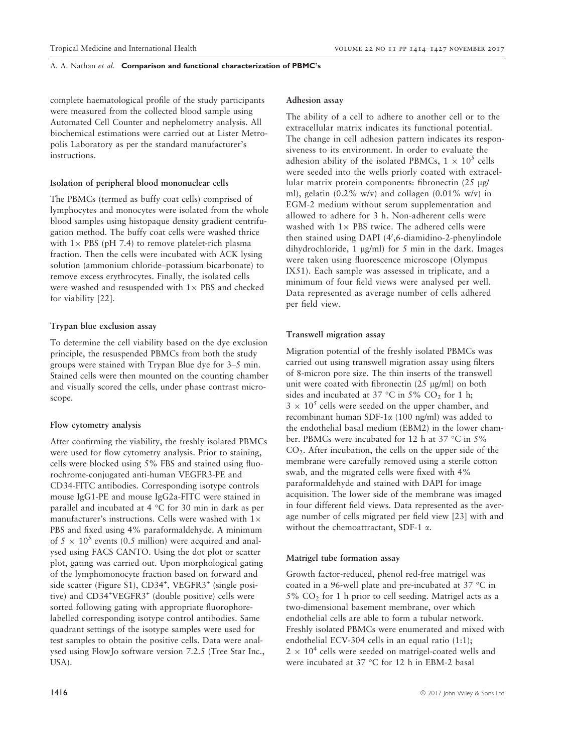complete haematological profile of the study participants were measured from the collected blood sample using Automated Cell Counter and nephelometry analysis. All biochemical estimations were carried out at Lister Metropolis Laboratory as per the standard manufacturer's instructions.

# Isolation of peripheral blood mononuclear cells

The PBMCs (termed as buffy coat cells) comprised of lymphocytes and monocytes were isolated from the whole blood samples using histopaque density gradient centrifugation method. The buffy coat cells were washed thrice with  $1 \times$  PBS (pH 7.4) to remove platelet-rich plasma fraction. Then the cells were incubated with ACK lysing solution (ammonium chloride–potassium bicarbonate) to remove excess erythrocytes. Finally, the isolated cells were washed and resuspended with  $1\times$  PBS and checked for viability [22].

#### Trypan blue exclusion assay

To determine the cell viability based on the dye exclusion principle, the resuspended PBMCs from both the study groups were stained with Trypan Blue dye for 3–5 min. Stained cells were then mounted on the counting chamber and visually scored the cells, under phase contrast microscope.

#### Flow cytometry analysis

After confirming the viability, the freshly isolated PBMCs were used for flow cytometry analysis. Prior to staining, cells were blocked using 5% FBS and stained using fluorochrome-conjugated anti-human VEGFR3-PE and CD34-FITC antibodies. Corresponding isotype controls mouse IgG1-PE and mouse IgG2a-FITC were stained in parallel and incubated at 4 °C for 30 min in dark as per manufacturer's instructions. Cells were washed with  $1\times$ PBS and fixed using 4% paraformaldehyde. A minimum of  $5 \times 10^5$  events (0.5 million) were acquired and analysed using FACS CANTO. Using the dot plot or scatter plot, gating was carried out. Upon morphological gating of the lymphomonocyte fraction based on forward and side scatter (Figure S1), CD34<sup>+</sup>, VEGFR3<sup>+</sup> (single positive) and CD34<sup>+</sup> VEGFR3<sup>+</sup> (double positive) cells were sorted following gating with appropriate fluorophorelabelled corresponding isotype control antibodies. Same quadrant settings of the isotype samples were used for test samples to obtain the positive cells. Data were analysed using FlowJo software version 7.2.5 (Tree Star Inc., USA).

# Adhesion assay

The ability of a cell to adhere to another cell or to the extracellular matrix indicates its functional potential. The change in cell adhesion pattern indicates its responsiveness to its environment. In order to evaluate the adhesion ability of the isolated PBMCs,  $1 \times 10^5$  cells were seeded into the wells priorly coated with extracellular matrix protein components: fibronectin  $(25 \text{ µg})$ ml), gelatin (0.2% w/v) and collagen (0.01% w/v) in EGM-2 medium without serum supplementation and allowed to adhere for 3 h. Non-adherent cells were washed with  $1 \times$  PBS twice. The adhered cells were then stained using DAPI (4',6-diamidino-2-phenylindole dihydrochloride, 1  $\mu$ g/ml) for 5 min in the dark. Images were taken using fluorescence microscope (Olympus IX51). Each sample was assessed in triplicate, and a minimum of four field views were analysed per well. Data represented as average number of cells adhered per field view.

# Transwell migration assay

Migration potential of the freshly isolated PBMCs was carried out using transwell migration assay using filters of 8-micron pore size. The thin inserts of the transwell unit were coated with fibronectin  $(25 \text{ µg/ml})$  on both sides and incubated at 37 °C in 5%  $CO<sub>2</sub>$  for 1 h;  $3 \times 10^5$  cells were seeded on the upper chamber, and recombinant human SDF-1 $\alpha$  (100 ng/ml) was added to the endothelial basal medium (EBM2) in the lower chamber. PBMCs were incubated for 12 h at 37 °C in 5% CO2. After incubation, the cells on the upper side of the membrane were carefully removed using a sterile cotton swab, and the migrated cells were fixed with 4% paraformaldehyde and stained with DAPI for image acquisition. The lower side of the membrane was imaged in four different field views. Data represented as the average number of cells migrated per field view [23] with and without the chemoattractant, SDF-1  $\alpha$ .

# Matrigel tube formation assay

Growth factor-reduced, phenol red-free matrigel was coated in a 96-well plate and pre-incubated at 37 °C in  $5\%$  CO<sub>2</sub> for 1 h prior to cell seeding. Matrigel acts as a two-dimensional basement membrane, over which endothelial cells are able to form a tubular network. Freshly isolated PBMCs were enumerated and mixed with endothelial ECV-304 cells in an equal ratio (1:1);  $2 \times 10^4$  cells were seeded on matrigel-coated wells and were incubated at 37 °C for 12 h in EBM-2 basal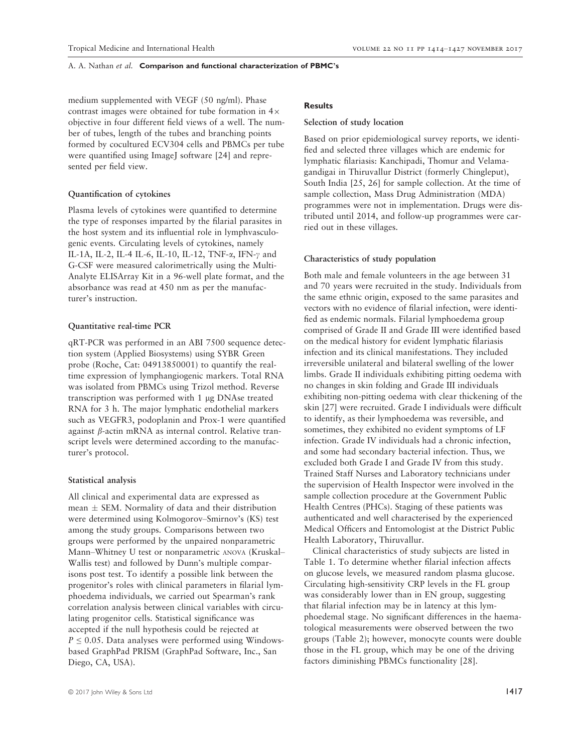medium supplemented with VEGF (50 ng/ml). Phase contrast images were obtained for tube formation in  $4\times$ objective in four different field views of a well. The number of tubes, length of the tubes and branching points formed by cocultured ECV304 cells and PBMCs per tube were quantified using ImageJ software [24] and represented per field view.

# Quantification of cytokines

Plasma levels of cytokines were quantified to determine the type of responses imparted by the filarial parasites in the host system and its influential role in lymphvasculogenic events. Circulating levels of cytokines, namely IL-1A, IL-2, IL-4 IL-6, IL-10, IL-12, TNF- $\alpha$ , IFN- $\gamma$  and G-CSF were measured calorimetrically using the Multi-Analyte ELISArray Kit in a 96-well plate format, and the absorbance was read at 450 nm as per the manufacturer's instruction.

#### Quantitative real-time PCR

qRT-PCR was performed in an ABI 7500 sequence detection system (Applied Biosystems) using SYBR Green probe (Roche, Cat: 04913850001) to quantify the realtime expression of lymphangiogenic markers. Total RNA was isolated from PBMCs using Trizol method. Reverse transcription was performed with  $1 \mu g$  DNAse treated RNA for 3 h. The major lymphatic endothelial markers such as VEGFR3, podoplanin and Prox-1 were quantified against  $\beta$ -actin mRNA as internal control. Relative transcript levels were determined according to the manufacturer's protocol.

# Statistical analysis

All clinical and experimental data are expressed as  $mean \pm SEM$ . Normality of data and their distribution were determined using Kolmogorov–Smirnov's (KS) test among the study groups. Comparisons between two groups were performed by the unpaired nonparametric Mann–Whitney U test or nonparametric ANOVA (Kruskal– Wallis test) and followed by Dunn's multiple comparisons post test. To identify a possible link between the progenitor's roles with clinical parameters in filarial lymphoedema individuals, we carried out Spearman's rank correlation analysis between clinical variables with circulating progenitor cells. Statistical significance was accepted if the null hypothesis could be rejected at  $P \leq 0.05$ . Data analyses were performed using Windowsbased GraphPad PRISM (GraphPad Software, Inc., San Diego, CA, USA).

# **Results**

#### Selection of study location

Based on prior epidemiological survey reports, we identified and selected three villages which are endemic for lymphatic filariasis: Kanchipadi, Thomur and Velamagandigai in Thiruvallur District (formerly Chingleput), South India [25, 26] for sample collection. At the time of sample collection, Mass Drug Administration (MDA) programmes were not in implementation. Drugs were distributed until 2014, and follow-up programmes were carried out in these villages.

# Characteristics of study population

Both male and female volunteers in the age between 31 and 70 years were recruited in the study. Individuals from the same ethnic origin, exposed to the same parasites and vectors with no evidence of filarial infection, were identified as endemic normals. Filarial lymphoedema group comprised of Grade II and Grade III were identified based on the medical history for evident lymphatic filariasis infection and its clinical manifestations. They included irreversible unilateral and bilateral swelling of the lower limbs. Grade II individuals exhibiting pitting oedema with no changes in skin folding and Grade III individuals exhibiting non-pitting oedema with clear thickening of the skin [27] were recruited. Grade I individuals were difficult to identify, as their lymphoedema was reversible, and sometimes, they exhibited no evident symptoms of LF infection. Grade IV individuals had a chronic infection, and some had secondary bacterial infection. Thus, we excluded both Grade I and Grade IV from this study. Trained Staff Nurses and Laboratory technicians under the supervision of Health Inspector were involved in the sample collection procedure at the Government Public Health Centres (PHCs). Staging of these patients was authenticated and well characterised by the experienced Medical Officers and Entomologist at the District Public Health Laboratory, Thiruvallur.

Clinical characteristics of study subjects are listed in Table 1. To determine whether filarial infection affects on glucose levels, we measured random plasma glucose. Circulating high-sensitivity CRP levels in the FL group was considerably lower than in EN group, suggesting that filarial infection may be in latency at this lymphoedemal stage. No significant differences in the haematological measurements were observed between the two groups (Table 2); however, monocyte counts were double those in the FL group, which may be one of the driving factors diminishing PBMCs functionality [28].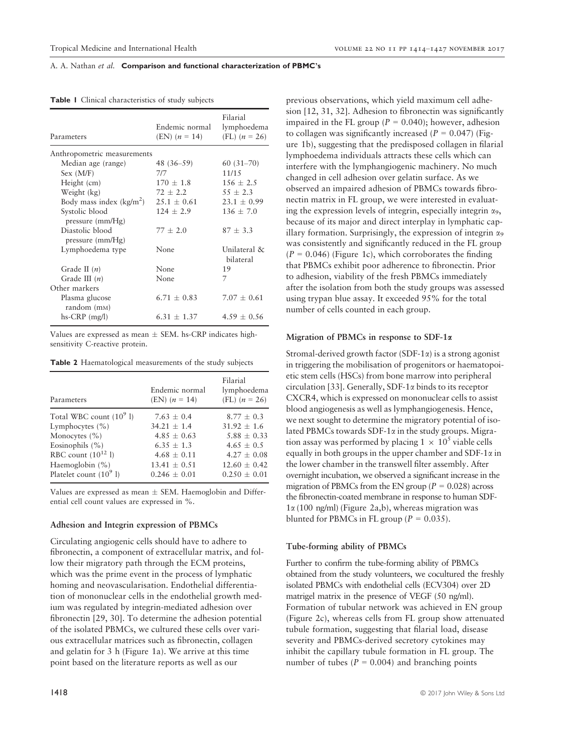| Parameters                                   | Endemic normal<br>$(EN)$ $(n = 14)$ | Filarial<br>lymphoedema<br>(FL) $(n = 26)$ |
|----------------------------------------------|-------------------------------------|--------------------------------------------|
| Anthropometric measurements                  |                                     |                                            |
| Median age (range)                           | 48 (36–59)                          | $60(31-70)$                                |
| Sex (M/F)                                    | 717                                 | 11/15                                      |
| Height (cm)                                  | $170 \pm 1.8$                       | $156 \pm 2.5$                              |
| Weight (kg)                                  | $72 + 2.2$                          | $55 \pm 2.3$                               |
| Body mass index $(kg/m^2)$                   | $25.1 + 0.61$                       | $23.1 + 0.99$                              |
| Systolic blood<br>pressure (mm/Hg)           | $124 \pm 2.9$                       | $136 \pm 7.0$                              |
| Diastolic blood<br>pressure $\text{(mm/Hg)}$ | $77 + 2.0$                          | $87 \pm 3.3$                               |
| Lymphoedema type                             | None                                | Unilateral &<br>bilateral                  |
| Grade II $(n)$                               | None                                | 19                                         |
| Grade III $(n)$                              | None                                | 7                                          |
| Other markers                                |                                     |                                            |
| Plasma glucose<br>random (m <sub>M</sub> )   | $6.71 \pm 0.83$                     | $7.07 + 0.61$                              |
| $hs-CRP$ (mg/l)                              | $6.31 + 1.37$                       | $4.59 + 0.56$                              |

Table 1 Clinical characteristics of study subjects

Values are expressed as mean  $\pm$  SEM. hs-CRP indicates highsensitivity C-reactive protein.

Table 2 Haematological measurements of the study subjects

| Parameters                 | Endemic normal<br>$(EN)$ $(n = 14)$ | Filarial<br>lymphoedema<br>(FL) $(n = 26)$ |
|----------------------------|-------------------------------------|--------------------------------------------|
| Total WBC count $(10^9 1)$ | $7.63 + 0.4$                        | $8.77 + 0.3$                               |
| Lymphocytes $(\% )$        | $34.21 \pm 1.4$                     | $31.92 \pm 1.6$                            |
| Monocytes $(\% )$          | $4.85 + 0.63$                       | $5.88 + 0.33$                              |
| Eosinophils $(\% )$        | $6.35 + 1.3$                        | $4.65 + 0.5$                               |
| RBC count $(10^{12}$ l)    | $4.68 \pm 0.11$                     | $4.27 + 0.08$                              |
| Haemoglobin (%)            | $13.41 \pm 0.51$                    | $12.60 + 0.42$                             |
| Platelet count $(10^9$ l)  | $0.246 + 0.01$                      | $0.250 + 0.01$                             |

Values are expressed as mean  $\pm$  SEM. Haemoglobin and Differential cell count values are expressed in %.

# Adhesion and Integrin expression of PBMCs

Circulating angiogenic cells should have to adhere to fibronectin, a component of extracellular matrix, and follow their migratory path through the ECM proteins, which was the prime event in the process of lymphatic homing and neovascularisation. Endothelial differentiation of mononuclear cells in the endothelial growth medium was regulated by integrin-mediated adhesion over fibronectin [29, 30]. To determine the adhesion potential of the isolated PBMCs, we cultured these cells over various extracellular matrices such as fibronectin, collagen and gelatin for 3 h (Figure 1a). We arrive at this time point based on the literature reports as well as our

previous observations, which yield maximum cell adhesion [12, 31, 32]. Adhesion to fibronectin was significantly impaired in the FL group ( $P = 0.040$ ); however, adhesion to collagen was significantly increased ( $P = 0.047$ ) (Figure 1b), suggesting that the predisposed collagen in filarial lymphoedema individuals attracts these cells which can interfere with the lymphangiogenic machinery. No much changed in cell adhesion over gelatin surface. As we observed an impaired adhesion of PBMCs towards fibronectin matrix in FL group, we were interested in evaluating the expression levels of integrin, especially integrin  $\alpha_9$ , because of its major and direct interplay in lymphatic capillary formation. Surprisingly, the expression of integrin  $\alpha_9$ was consistently and significantly reduced in the FL group  $(P = 0.046)$  (Figure 1c), which corroborates the finding that PBMCs exhibit poor adherence to fibronectin. Prior to adhesion, viability of the fresh PBMCs immediately after the isolation from both the study groups was assessed using trypan blue assay. It exceeded 95% for the total number of cells counted in each group.

# Migration of PBMCs in response to SDF-1a

Stromal-derived growth factor  $(SDF-1\alpha)$  is a strong agonist in triggering the mobilisation of progenitors or haematopoietic stem cells (HSCs) from bone marrow into peripheral circulation [33]. Generally, SDF-1a binds to its receptor CXCR4, which is expressed on mononuclear cells to assist blood angiogenesis as well as lymphangiogenesis. Hence, we next sought to determine the migratory potential of isolated PBMCs towards  $SDF-1\alpha$  in the study groups. Migration assay was performed by placing  $1 \times 10^5$  viable cells equally in both groups in the upper chamber and SDF-1 $\alpha$  in the lower chamber in the transwell filter assembly. After overnight incubation, we observed a significant increase in the migration of PBMCs from the EN group ( $P = 0.028$ ) across the fibronectin-coated membrane in response to human SDF- $1\alpha$  (100 ng/ml) (Figure 2a,b), whereas migration was blunted for PBMCs in FL group ( $P = 0.035$ ).

#### Tube-forming ability of PBMCs

Further to confirm the tube-forming ability of PBMCs obtained from the study volunteers, we cocultured the freshly isolated PBMCs with endothelial cells (ECV304) over 2D matrigel matrix in the presence of VEGF (50 ng/ml). Formation of tubular network was achieved in EN group (Figure 2c), whereas cells from FL group show attenuated tubule formation, suggesting that filarial load, disease severity and PBMCs-derived secretory cytokines may inhibit the capillary tubule formation in FL group. The number of tubes ( $P = 0.004$ ) and branching points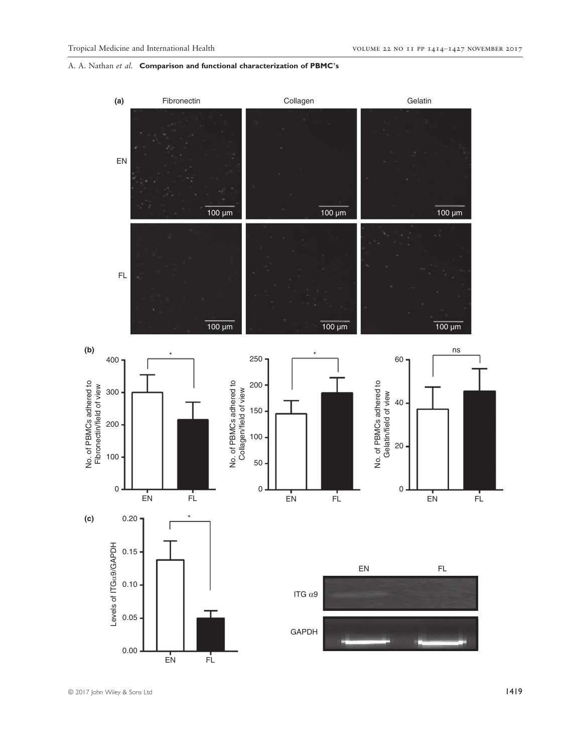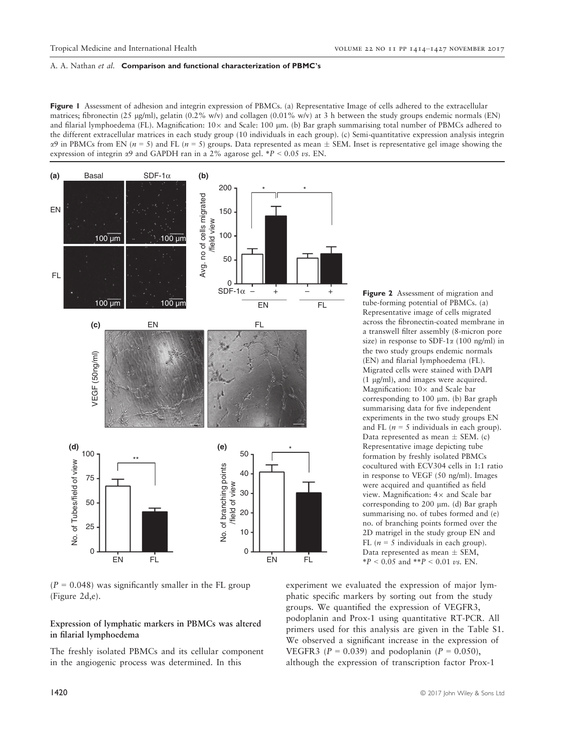Figure 1 Assessment of adhesion and integrin expression of PBMCs. (a) Representative Image of cells adhered to the extracellular matrices; fibronectin (25 µg/ml), gelatin (0.2% w/v) and collagen (0.01% w/v) at 3 h between the study groups endemic normals (EN) and filarial lymphoedema (FL). Magnification:  $10\times$  and Scale:  $100 \mu$ m. (b) Bar graph summarising total number of PBMCs adhered to the different extracellular matrices in each study group (10 individuals in each group). (c) Semi-quantitative expression analysis integrin  $\alpha$ 9 in PBMCs from EN ( $n = 5$ ) and FL ( $n = 5$ ) groups. Data represented as mean  $\pm$  SEM. Inset is representative gel image showing the expression of integrin  $\alpha$ 9 and GAPDH ran in a 2% agarose gel. \*P < 0.05 vs. EN.



 $(P = 0.048)$  was significantly smaller in the FL group (Figure 2d,e).

# Expression of lymphatic markers in PBMCs was altered in filarial lymphoedema

The freshly isolated PBMCs and its cellular component in the angiogenic process was determined. In this

Figure 2 Assessment of migration and tube-forming potential of PBMCs. (a) Representative image of cells migrated across the fibronectin-coated membrane in a transwell filter assembly (8-micron pore size) in response to SDF-1 $\alpha$  (100 ng/ml) in the two study groups endemic normals (EN) and filarial lymphoedema (FL). Migrated cells were stained with DAPI  $(1 \mu g/ml)$ , and images were acquired. Magnification:  $10\times$  and Scale bar corresponding to  $100 \mu m$ . (b) Bar graph summarising data for five independent experiments in the two study groups EN and FL ( $n = 5$  individuals in each group). Data represented as mean  $\pm$  SEM. (c) Representative image depicting tube formation by freshly isolated PBMCs cocultured with ECV304 cells in 1:1 ratio in response to VEGF (50 ng/ml). Images were acquired and quantified as field view. Magnification:  $4\times$  and Scale bar corresponding to 200  $\mu$ m. (d) Bar graph summarising no. of tubes formed and (e) no. of branching points formed over the 2D matrigel in the study group EN and FL ( $n = 5$  individuals in each group). Data represented as mean  $\pm$  SEM,

experiment we evaluated the expression of major lymphatic specific markers by sorting out from the study groups. We quantified the expression of VEGFR3, podoplanin and Prox-1 using quantitative RT-PCR. All primers used for this analysis are given in the Table S1. We observed a significant increase in the expression of VEGFR3 ( $P = 0.039$ ) and podoplanin ( $P = 0.050$ ), although the expression of transcription factor Prox-1

 $*P < 0.05$  and  $*P < 0.01$  *vs.* EN.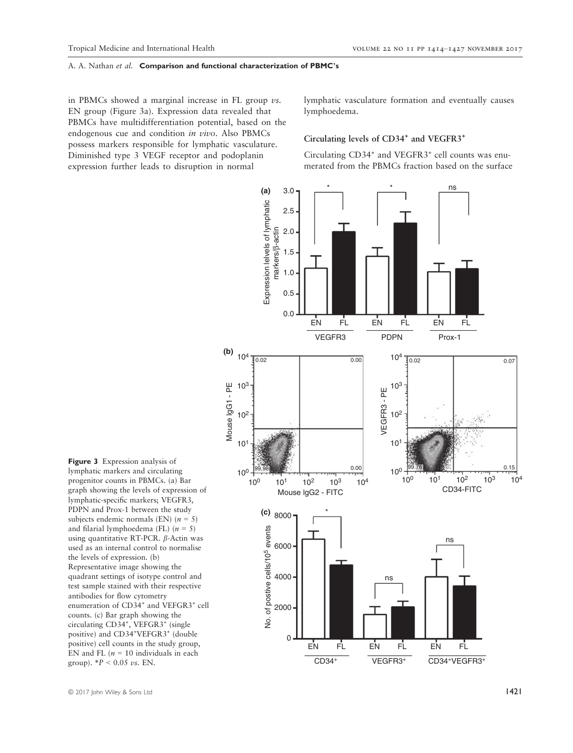in PBMCs showed a marginal increase in FL group  $\nu$ s. EN group (Figure 3a). Expression data revealed that PBMCs have multidifferentiation potential, based on the endogenous cue and condition in vivo. Also PBMCs possess markers responsible for lymphatic vasculature. Diminished type 3 VEGF receptor and podoplanin expression further leads to disruption in normal

lymphatic vasculature formation and eventually causes lymphoedema.

# Circulating levels of CD34<sup>+</sup> and VEGFR3<sup>+</sup>

Circulating CD34<sup>+</sup> and VEGFR3<sup>+</sup> cell counts was enumerated from the PBMCs fraction based on the surface



Figure 3 Expression analysis of lymphatic markers and circulating progenitor counts in PBMCs. (a) Bar graph showing the levels of expression of lymphatic-specific markers; VEGFR3, PDPN and Prox-1 between the study subjects endemic normals (EN)  $(n = 5)$ and filarial lymphoedema (FL)  $(n = 5)$ using quantitative RT-PCR.  $\beta$ -Actin was used as an internal control to normalise the levels of expression. (b) Representative image showing the quadrant settings of isotype control and test sample stained with their respective antibodies for flow cytometry enumeration of CD34+ and VEFGR3+ cell counts. (c) Bar graph showing the circulating CD34<sup>+</sup>, VEFGR3<sup>+</sup> (single positive) and CD34<sup>+</sup>VEFGR3<sup>+</sup> (double positive) cell counts in the study group, EN and FL  $(n = 10$  individuals in each group).  $*P < 0.05 \text{ vs. EN.}$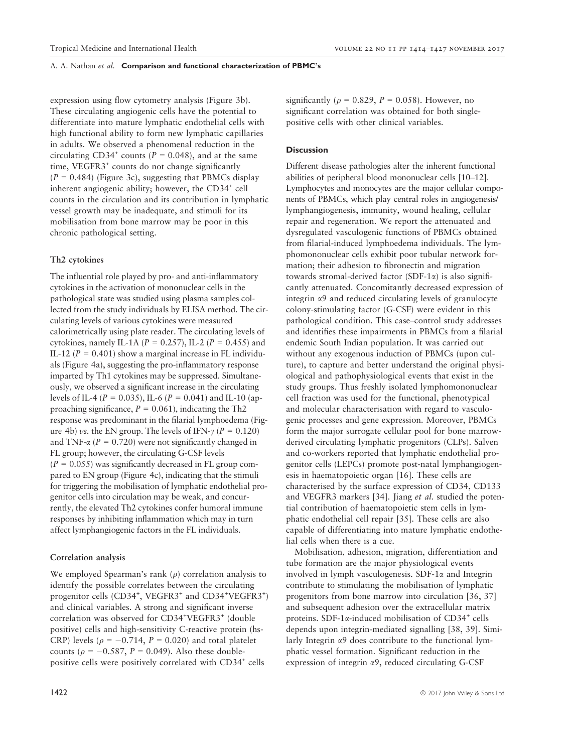expression using flow cytometry analysis (Figure 3b). These circulating angiogenic cells have the potential to differentiate into mature lymphatic endothelial cells with high functional ability to form new lymphatic capillaries in adults. We observed a phenomenal reduction in the circulating CD34<sup>+</sup> counts ( $P = 0.048$ ), and at the same time, VEGFR3<sup>+</sup> counts do not change significantly  $(P = 0.484)$  (Figure 3c), suggesting that PBMCs display inherent angiogenic ability; however, the CD34<sup>+</sup> cell counts in the circulation and its contribution in lymphatic vessel growth may be inadequate, and stimuli for its mobilisation from bone marrow may be poor in this chronic pathological setting.

# Th2 cytokines

The influential role played by pro- and anti-inflammatory cytokines in the activation of mononuclear cells in the pathological state was studied using plasma samples collected from the study individuals by ELISA method. The circulating levels of various cytokines were measured calorimetrically using plate reader. The circulating levels of cytokines, namely IL-1A ( $P = 0.257$ ), IL-2 ( $P = 0.455$ ) and IL-12 ( $P = 0.401$ ) show a marginal increase in FL individuals (Figure 4a), suggesting the pro-inflammatory response imparted by Th1 cytokines may be suppressed. Simultaneously, we observed a significant increase in the circulating levels of IL-4 ( $P = 0.035$ ), IL-6 ( $P = 0.041$ ) and IL-10 (approaching significance,  $P = 0.061$ ), indicating the Th2 response was predominant in the filarial lymphoedema (Figure 4b) *vs*. the EN group. The levels of IFN- $\gamma$  ( $P = 0.120$ ) and TNF- $\alpha$  ( $P = 0.720$ ) were not significantly changed in FL group; however, the circulating G-CSF levels  $(P = 0.055)$  was significantly decreased in FL group compared to EN group (Figure 4c), indicating that the stimuli for triggering the mobilisation of lymphatic endothelial progenitor cells into circulation may be weak, and concurrently, the elevated Th2 cytokines confer humoral immune responses by inhibiting inflammation which may in turn affect lymphangiogenic factors in the FL individuals.

# Correlation analysis

We employed Spearman's rank  $(\rho)$  correlation analysis to identify the possible correlates between the circulating progenitor cells (CD34<sup>+</sup>, VEGFR3<sup>+</sup> and CD34<sup>+</sup>VEGFR3<sup>+</sup>) and clinical variables. A strong and significant inverse correlation was observed for CD34<sup>+</sup>VEGFR3<sup>+</sup> (double positive) cells and high-sensitivity C-reactive protein (hs-CRP) levels ( $\rho = -0.714$ ,  $P = 0.020$ ) and total platelet counts ( $\rho = -0.587$ ,  $P = 0.049$ ). Also these doublepositive cells were positively correlated with CD34<sup>+</sup> cells

significantly ( $\rho = 0.829$ ,  $P = 0.058$ ). However, no significant correlation was obtained for both singlepositive cells with other clinical variables.

### **Discussion**

Different disease pathologies alter the inherent functional abilities of peripheral blood mononuclear cells [10–12]. Lymphocytes and monocytes are the major cellular components of PBMCs, which play central roles in angiogenesis/ lymphangiogenesis, immunity, wound healing, cellular repair and regeneration. We report the attenuated and dysregulated vasculogenic functions of PBMCs obtained from filarial-induced lymphoedema individuals. The lymphomononuclear cells exhibit poor tubular network formation; their adhesion to fibronectin and migration towards stromal-derived factor (SDF-1 $\alpha$ ) is also significantly attenuated. Concomitantly decreased expression of integrin  $\alpha$ 9 and reduced circulating levels of granulocyte colony-stimulating factor (G-CSF) were evident in this pathological condition. This case–control study addresses and identifies these impairments in PBMCs from a filarial endemic South Indian population. It was carried out without any exogenous induction of PBMCs (upon culture), to capture and better understand the original physiological and pathophysiological events that exist in the study groups. Thus freshly isolated lymphomononuclear cell fraction was used for the functional, phenotypical and molecular characterisation with regard to vasculogenic processes and gene expression. Moreover, PBMCs form the major surrogate cellular pool for bone marrowderived circulating lymphatic progenitors (CLPs). Salven and co-workers reported that lymphatic endothelial progenitor cells (LEPCs) promote post-natal lymphangiogenesis in haematopoietic organ [16]. These cells are characterised by the surface expression of CD34, CD133 and VEGFR3 markers [34]. Jiang et al. studied the potential contribution of haematopoietic stem cells in lymphatic endothelial cell repair [35]. These cells are also capable of differentiating into mature lymphatic endothelial cells when there is a cue.

Mobilisation, adhesion, migration, differentiation and tube formation are the major physiological events involved in lymph vasculogenesis.  $SDF-1\alpha$  and Integrin contribute to stimulating the mobilisation of lymphatic progenitors from bone marrow into circulation [36, 37] and subsequent adhesion over the extracellular matrix proteins. SDF-1 $\alpha$ -induced mobilisation of CD34<sup>+</sup> cells depends upon integrin-mediated signalling [38, 39]. Similarly Integrin  $\alpha$ 9 does contribute to the functional lymphatic vessel formation. Significant reduction in the expression of integrin  $\alpha$ 9, reduced circulating G-CSF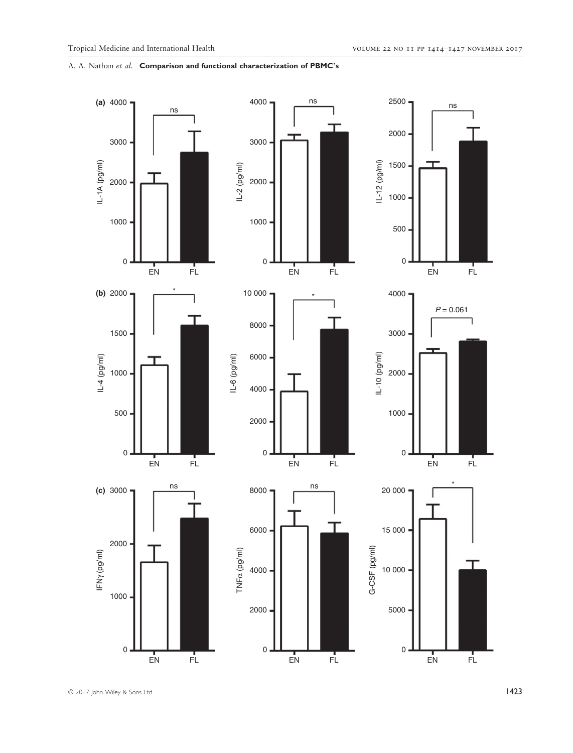

© 2017 John Wiley & Sons Ltd 1423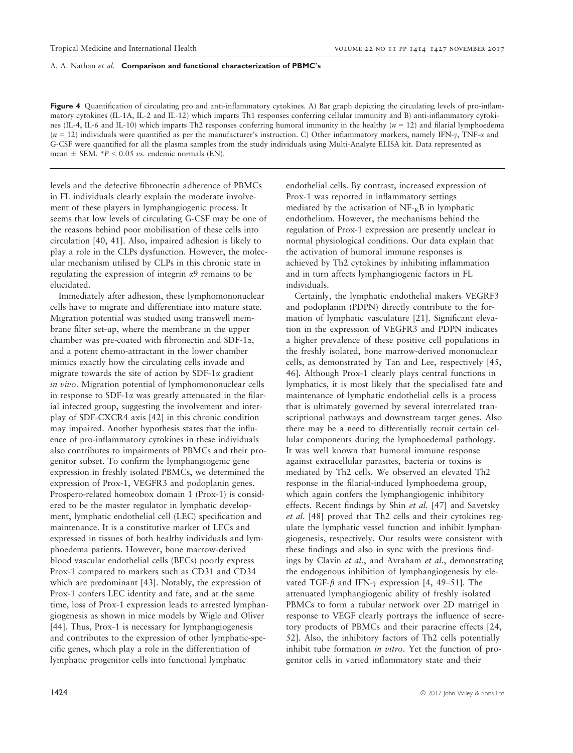Figure 4 Quantification of circulating pro and anti-inflammatory cytokines. A) Bar graph depicting the circulating levels of pro-inflammatory cytokines (IL-1A, IL-2 and IL-12) which imparts Th1 responses conferring cellular immunity and B) anti-inflammatory cytokines (IL-4, IL-6 and IL-10) which imparts Th2 responses conferring humoral immunity in the healthy ( $n = 12$ ) and filarial lymphoedema  $(n = 12)$  individuals were quantified as per the manufacturer's instruction. C) Other inflammatory markers, namely IFN- $\gamma$ , TNF- $\alpha$  and G-CSF were quantified for all the plasma samples from the study individuals using Multi-Analyte ELISA kit. Data represented as mean  $\pm$  SEM.  $*P < 0.05$  *vs*. endemic normals (EN).

levels and the defective fibronectin adherence of PBMCs in FL individuals clearly explain the moderate involvement of these players in lymphangiogenic process. It seems that low levels of circulating G-CSF may be one of the reasons behind poor mobilisation of these cells into circulation [40, 41]. Also, impaired adhesion is likely to play a role in the CLPs dysfunction. However, the molecular mechanism utilised by CLPs in this chronic state in regulating the expression of integrin  $\alpha$ 9 remains to be elucidated.

Immediately after adhesion, these lymphomononuclear cells have to migrate and differentiate into mature state. Migration potential was studied using transwell membrane filter set-up, where the membrane in the upper chamber was pre-coated with fibronectin and SDF-1a, and a potent chemo-attractant in the lower chamber mimics exactly how the circulating cells invade and migrate towards the site of action by SDF-1 $\alpha$  gradient in vivo. Migration potential of lymphomononuclear cells in response to SDF-1 $\alpha$  was greatly attenuated in the filarial infected group, suggesting the involvement and interplay of SDF-CXCR4 axis [42] in this chronic condition may impaired. Another hypothesis states that the influence of pro-inflammatory cytokines in these individuals also contributes to impairments of PBMCs and their progenitor subset. To confirm the lymphangiogenic gene expression in freshly isolated PBMCs, we determined the expression of Prox-1, VEGFR3 and podoplanin genes. Prospero-related homeobox domain 1 (Prox-1) is considered to be the master regulator in lymphatic development, lymphatic endothelial cell (LEC) specification and maintenance. It is a constitutive marker of LECs and expressed in tissues of both healthy individuals and lymphoedema patients. However, bone marrow-derived blood vascular endothelial cells (BECs) poorly express Prox-1 compared to markers such as CD31 and CD34 which are predominant [43]. Notably, the expression of Prox-1 confers LEC identity and fate, and at the same time, loss of Prox-1 expression leads to arrested lymphangiogenesis as shown in mice models by Wigle and Oliver [44]. Thus, Prox-1 is necessary for lymphangiogenesis and contributes to the expression of other lymphatic-specific genes, which play a role in the differentiation of lymphatic progenitor cells into functional lymphatic

endothelial cells. By contrast, increased expression of Prox-1 was reported in inflammatory settings mediated by the activation of  $NF_{K}B$  in lymphatic endothelium. However, the mechanisms behind the regulation of Prox-1 expression are presently unclear in normal physiological conditions. Our data explain that the activation of humoral immune responses is achieved by Th2 cytokines by inhibiting inflammation and in turn affects lymphangiogenic factors in FL individuals.

Certainly, the lymphatic endothelial makers VEGRF3 and podoplanin (PDPN) directly contribute to the formation of lymphatic vasculature [21]. Significant elevation in the expression of VEGFR3 and PDPN indicates a higher prevalence of these positive cell populations in the freshly isolated, bone marrow-derived mononuclear cells, as demonstrated by Tan and Lee, respectively [45, 46]. Although Prox-1 clearly plays central functions in lymphatics, it is most likely that the specialised fate and maintenance of lymphatic endothelial cells is a process that is ultimately governed by several interrelated transcriptional pathways and downstream target genes. Also there may be a need to differentially recruit certain cellular components during the lymphoedemal pathology. It was well known that humoral immune response against extracellular parasites, bacteria or toxins is mediated by Th2 cells. We observed an elevated Th2 response in the filarial-induced lymphoedema group, which again confers the lymphangiogenic inhibitory effects. Recent findings by Shin et al. [47] and Savetsky et al. [48] proved that Th2 cells and their cytokines regulate the lymphatic vessel function and inhibit lymphangiogenesis, respectively. Our results were consistent with these findings and also in sync with the previous findings by Clavin et al., and Avraham et al., demonstrating the endogenous inhibition of lymphangiogenesis by elevated TGF- $\beta$  and IFN- $\gamma$  expression [4, 49–51]. The attenuated lymphangiogenic ability of freshly isolated PBMCs to form a tubular network over 2D matrigel in response to VEGF clearly portrays the influence of secretory products of PBMCs and their paracrine effects [24, 52]. Also, the inhibitory factors of Th2 cells potentially inhibit tube formation *in vitro*. Yet the function of progenitor cells in varied inflammatory state and their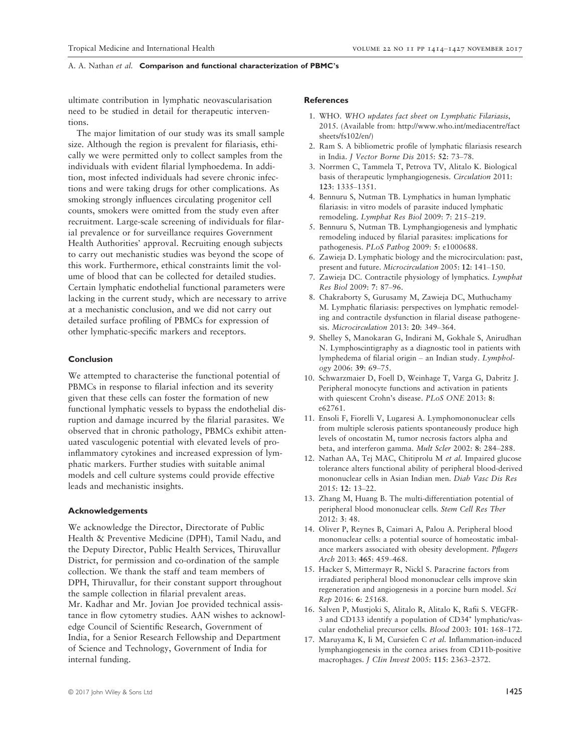ultimate contribution in lymphatic neovascularisation need to be studied in detail for therapeutic interventions.

The major limitation of our study was its small sample size. Although the region is prevalent for filariasis, ethically we were permitted only to collect samples from the individuals with evident filarial lymphoedema. In addition, most infected individuals had severe chronic infections and were taking drugs for other complications. As smoking strongly influences circulating progenitor cell counts, smokers were omitted from the study even after recruitment. Large-scale screening of individuals for filarial prevalence or for surveillance requires Government Health Authorities' approval. Recruiting enough subjects to carry out mechanistic studies was beyond the scope of this work. Furthermore, ethical constraints limit the volume of blood that can be collected for detailed studies. Certain lymphatic endothelial functional parameters were lacking in the current study, which are necessary to arrive at a mechanistic conclusion, and we did not carry out detailed surface profiling of PBMCs for expression of other lymphatic-specific markers and receptors.

#### Conclusion

We attempted to characterise the functional potential of PBMCs in response to filarial infection and its severity given that these cells can foster the formation of new functional lymphatic vessels to bypass the endothelial disruption and damage incurred by the filarial parasites. We observed that in chronic pathology, PBMCs exhibit attenuated vasculogenic potential with elevated levels of proinflammatory cytokines and increased expression of lymphatic markers. Further studies with suitable animal models and cell culture systems could provide effective leads and mechanistic insights.

#### Acknowledgements

We acknowledge the Director, Directorate of Public Health & Preventive Medicine (DPH), Tamil Nadu, and the Deputy Director, Public Health Services, Thiruvallur District, for permission and co-ordination of the sample collection. We thank the staff and team members of DPH, Thiruvallur, for their constant support throughout the sample collection in filarial prevalent areas. Mr. Kadhar and Mr. Jovian Joe provided technical assistance in flow cytometry studies. AAN wishes to acknowledge Council of Scientific Research, Government of India, for a Senior Research Fellowship and Department of Science and Technology, Government of India for internal funding.

# References

- 1. WHO. WHO updates fact sheet on Lymphatic Filariasis, 2015. (Available from: [http://www.who.int/mediacentre/fact](http://www.who.int/mediacentre/factsheets/fs102/en/) [sheets/fs102/en/\)](http://www.who.int/mediacentre/factsheets/fs102/en/)
- 2. Ram S. A bibliometric profile of lymphatic filariasis research in India. J Vector Borne Dis 2015: 52: 73–78.
- 3. Norrmen C, Tammela T, Petrova TV, Alitalo K. Biological basis of therapeutic lymphangiogenesis. Circulation 2011: 123: 1335–1351.
- 4. Bennuru S, Nutman TB. Lymphatics in human lymphatic filariasis: in vitro models of parasite induced lymphatic remodeling. Lymphat Res Biol 2009: 7: 215–219.
- 5. Bennuru S, Nutman TB. Lymphangiogenesis and lymphatic remodeling induced by filarial parasites: implications for pathogenesis. PLoS Pathog 2009: 5: e1000688.
- 6. Zawieja D. Lymphatic biology and the microcirculation: past, present and future. Microcirculation 2005: 12: 141–150.
- 7. Zawieja DC. Contractile physiology of lymphatics. Lymphat Res Biol 2009: 7: 87–96.
- 8. Chakraborty S, Gurusamy M, Zawieja DC, Muthuchamy M. Lymphatic filariasis: perspectives on lymphatic remodeling and contractile dysfunction in filarial disease pathogenesis. Microcirculation 2013: 20: 349–364.
- 9. Shelley S, Manokaran G, Indirani M, Gokhale S, Anirudhan N. Lymphoscintigraphy as a diagnostic tool in patients with lymphedema of filarial origin – an Indian study. Lymphology 2006: 39: 69–75.
- 10. Schwarzmaier D, Foell D, Weinhage T, Varga G, Dabritz J. Peripheral monocyte functions and activation in patients with quiescent Crohn's disease. PLoS ONE 2013: 8: e62761.
- 11. Ensoli F, Fiorelli V, Lugaresi A. Lymphomononuclear cells from multiple sclerosis patients spontaneously produce high levels of oncostatin M, tumor necrosis factors alpha and beta, and interferon gamma. Mult Scler 2002: 8: 284–288.
- 12. Nathan AA, Tej MAC, Chitiprolu M et al. Impaired glucose tolerance alters functional ability of peripheral blood-derived mononuclear cells in Asian Indian men. Diab Vasc Dis Res 2015: 12: 13–22.
- 13. Zhang M, Huang B. The multi-differentiation potential of peripheral blood mononuclear cells. Stem Cell Res Ther 2012: 3: 48.
- 14. Oliver P, Reynes B, Caimari A, Palou A. Peripheral blood mononuclear cells: a potential source of homeostatic imbalance markers associated with obesity development. Pflugers Arch 2013: 465: 459–468.
- 15. Hacker S, Mittermayr R, Nickl S. Paracrine factors from irradiated peripheral blood mononuclear cells improve skin regeneration and angiogenesis in a porcine burn model. Sci Rep 2016: 6: 25168.
- 16. Salven P, Mustjoki S, Alitalo R, Alitalo K, Rafii S. VEGFR-3 and CD133 identify a population of CD34+ lymphatic/vascular endothelial precursor cells. Blood 2003: 101: 168–172.
- 17. Maruyama K, Ii M, Cursiefen C et al. Inflammation-induced lymphangiogenesis in the cornea arises from CD11b-positive macrophages. J CIin Invest 2005: 115: 2363–2372.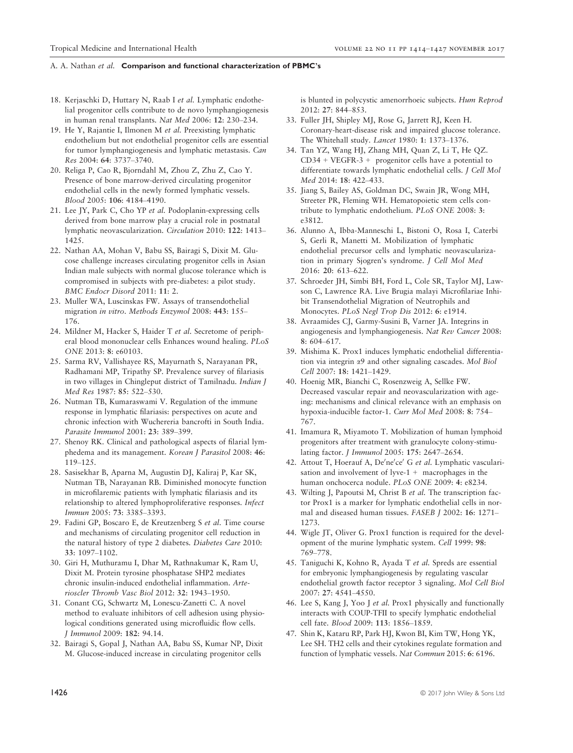- 18. Kerjaschki D, Huttary N, Raab I et al. Lymphatic endothelial progenitor cells contribute to de novo lymphangiogenesis in human renal transplants. Nat Med 2006: 12: 230–234.
- 19. He Y, Rajantie I, Ilmonen M et al. Preexisting lymphatic endothelium but not endothelial progenitor cells are essential for tumor lymphangiogenesis and lymphatic metastasis. Can Res 2004: 64: 3737–3740.
- 20. Religa P, Cao R, Bjorndahl M, Zhou Z, Zhu Z, Cao Y. Presence of bone marrow-derived circulating progenitor endothelial cells in the newly formed lymphatic vessels. Blood 2005: 106: 4184–4190.
- 21. Lee JY, Park C, Cho YP et al. Podoplanin-expressing cells derived from bone marrow play a crucial role in postnatal lymphatic neovascularization. Circulation 2010: 122: 1413– 1425.
- 22. Nathan AA, Mohan V, Babu SS, Bairagi S, Dixit M. Glucose challenge increases circulating progenitor cells in Asian Indian male subjects with normal glucose tolerance which is compromised in subjects with pre-diabetes: a pilot study. BMC Endocr Disord 2011: 11: 2.
- 23. Muller WA, Luscinskas FW. Assays of transendothelial migration in vitro. Methods Enzymol 2008: 443: 155– 176.
- 24. Mildner M, Hacker S, Haider T et al. Secretome of peripheral blood mononuclear cells Enhances wound healing. PLoS ONE 2013: 8: e60103.
- 25. Sarma RV, Vallishayee RS, Mayurnath S, Narayanan PR, Radhamani MP, Tripathy SP. Prevalence survey of filariasis in two villages in Chingleput district of Tamilnadu. Indian J Med Res 1987: 85: 522–530.
- 26. Nutman TB, Kumaraswami V. Regulation of the immune response in lymphatic filariasis: perspectives on acute and chronic infection with Wuchereria bancrofti in South India. Parasite Immunol 2001: 23: 389–399.
- 27. Shenoy RK. Clinical and pathological aspects of filarial lymphedema and its management. Korean J Parasitol 2008: 46: 119–125.
- 28. Sasisekhar B, Aparna M, Augustin DJ, Kaliraj P, Kar SK, Nutman TB, Narayanan RB. Diminished monocyte function in microfilaremic patients with lymphatic filariasis and its relationship to altered lymphoproliferative responses. Infect Immun 2005: 73: 3385–3393.
- 29. Fadini GP, Boscaro E, de Kreutzenberg S et al. Time course and mechanisms of circulating progenitor cell reduction in the natural history of type 2 diabetes. Diabetes Care 2010: 33: 1097–1102.
- 30. Giri H, Muthuramu I, Dhar M, Rathnakumar K, Ram U, Dixit M. Protein tyrosine phosphatase SHP2 mediates chronic insulin-induced endothelial inflammation. Arterioscler Thromb Vasc Biol 2012: 32: 1943–1950.
- 31. Conant CG, Schwartz M, Lonescu-Zanetti C. A novel method to evaluate inhibitors of cell adhesion using physiological conditions generated using microfluidic flow cells. J Immunol 2009: 182: 94.14.
- 32. Bairagi S, Gopal J, Nathan AA, Babu SS, Kumar NP, Dixit M. Glucose-induced increase in circulating progenitor cells

is blunted in polycystic amenorrhoeic subjects. Hum Reprod 2012: 27: 844–853.

- 33. Fuller JH, Shipley MJ, Rose G, Jarrett RJ, Keen H. Coronary-heart-disease risk and impaired glucose tolerance. The Whitehall study. Lancet 1980: 1: 1373–1376.
- 34. Tan YZ, Wang HJ, Zhang MH, Quan Z, Li T, He QZ.  $CD34 + VEGFR-3 + progenitor$  cells have a potential to differentiate towards lymphatic endothelial cells. J Cell Mol Med 2014: 18: 422–433.
- 35. Jiang S, Bailey AS, Goldman DC, Swain JR, Wong MH, Streeter PR, Fleming WH. Hematopoietic stem cells contribute to lymphatic endothelium. PLoS ONE 2008: 3: e3812.
- 36. Alunno A, Ibba-Manneschi L, Bistoni O, Rosa I, Caterbi S, Gerli R, Manetti M. Mobilization of lymphatic endothelial precursor cells and lymphatic neovascularization in primary Sjogren's syndrome. J Cell Mol Med 2016: 20: 613–622.
- 37. Schroeder JH, Simbi BH, Ford L, Cole SR, Taylor MJ, Lawson C, Lawrence RA. Live Brugia malayi Microfilariae Inhibit Transendothelial Migration of Neutrophils and Monocytes. PLoS Negl Trop Dis 2012: 6: e1914.
- 38. Avraamides CJ, Garmy-Susini B, Varner JA. Integrins in angiogenesis and lymphangiogenesis. Nat Rev Cancer 2008: 8: 604–617.
- 39. Mishima K. Prox1 induces lymphatic endothelial differentiation via integrin a9 and other signaling cascades. Mol Biol Cell 2007: 18: 1421–1429.
- 40. Hoenig MR, Bianchi C, Rosenzweig A, Sellke FW. Decreased vascular repair and neovascularization with ageing: mechanisms and clinical relevance with an emphasis on hypoxia-inducible factor-1. Curr Mol Med 2008: 8: 754– 767.
- 41. Imamura R, Miyamoto T. Mobilization of human lymphoid progenitors after treatment with granulocyte colony-stimulating factor. J Immunol 2005: 175: 2647–2654.
- 42. Attout T, Hoerauf A, De'ne'ce' G et al. Lymphatic vascularisation and involvement of  $lyve-1$  + macrophages in the human onchocerca nodule. PLoS ONE 2009: 4: e8234.
- 43. Wilting J, Papoutsi M, Christ B et al. The transcription factor Prox1 is a marker for lymphatic endothelial cells in normal and diseased human tissues. FASEB J 2002: 16: 1271– 1273.
- 44. Wigle JT, Oliver G. Prox1 function is required for the development of the murine lymphatic system. Cell 1999: 98: 769–778.
- 45. Taniguchi K, Kohno R, Ayada T et al. Spreds are essential for embryonic lymphangiogenesis by regulating vascular endothelial growth factor receptor 3 signaling. Mol Cell Biol 2007: 27: 4541–4550.
- 46. Lee S, Kang J, Yoo J et al. Prox1 physically and functionally interacts with COUP-TFII to specify lymphatic endothelial cell fate. Blood 2009: 113: 1856–1859.
- 47. Shin K, Kataru RP, Park HJ, Kwon BI, Kim TW, Hong YK, Lee SH. TH2 cells and their cytokines regulate formation and function of lymphatic vessels. Nat Commun 2015: 6: 6196.